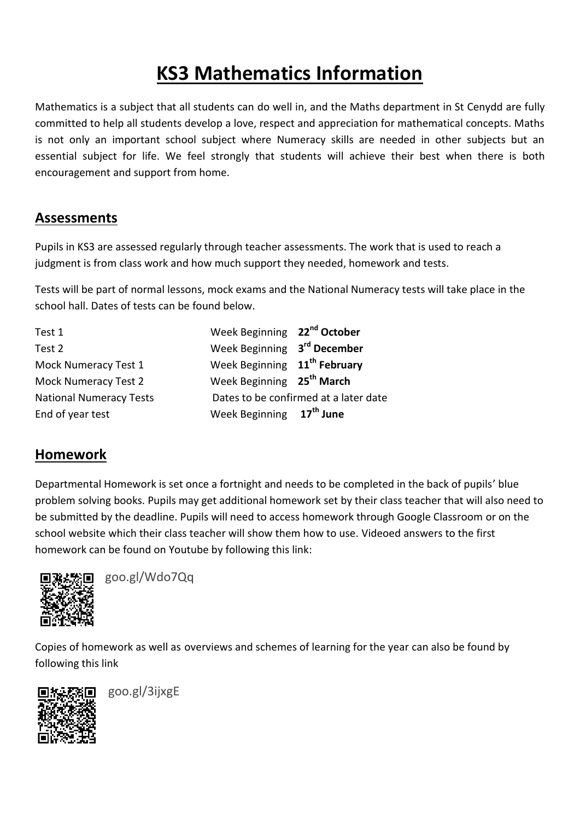# **KS3 Mathematics Information**

Mathematics is a subject that all students can do well in, and the Maths department in St Cenydd are fully committed to help all students develop a love, respect and appreciation for mathematical concepts. Maths is not only an important school subject where Numeracy skills are needed in other subjects but an essential subject for life. We feel strongly that students will achieve their best when there is both encouragement and support from home.

## **Assessments**

Pupils in KS3 are assessed regularly through teacher assessments. The work that is used to reach a judgment is from class work and how much support they needed, homework and tests.

Tests will be part of normal lessons, mock exams and the National Numeracy tests will take place in the school hall. Dates of tests can be found below.

| Test 1                         | Week Beginning 22 <sup>nd</sup> October  |                                       |
|--------------------------------|------------------------------------------|---------------------------------------|
| Test 2                         | Week Beginning 3rd December              |                                       |
| Mock Numeracy Test 1           | Week Beginning 11 <sup>th</sup> February |                                       |
| <b>Mock Numeracy Test 2</b>    | Week Beginning 25 <sup>th</sup> March    |                                       |
| <b>National Numeracy Tests</b> |                                          | Dates to be confirmed at a later date |
| End of year test               | Week Beginning 17 <sup>th</sup> June     |                                       |

# **Homework**

Departmental Homework is set once a fortnight and needs to be completed in the back of pupils' blue problem solving books. Pupils may get additional homework set by their class teacher that will also need to be submitted by the deadline. Pupils will need to access homework through Google Classroom or on the school website which their class teacher will show them how to use. Videoed answers to the first homework can be found on Youtube by following this link:



goo.gl/Wdo7Qq

Copies of homework as well as overviews and schemes of learning for the year can also be found by following this link



goo.gl/3ijxgE